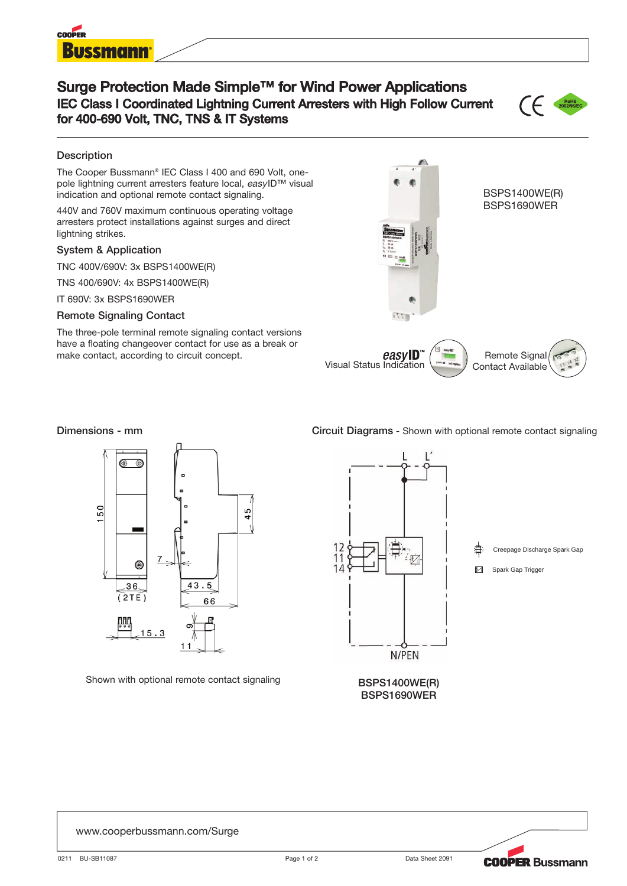

## **Surge Protection Made Simple™ for Wind Power Applications IEC Class I Coordinated Lightning Current Arresters with High Follow Current for 400-690 Volt, TNC, TNS & IT Systems**



### **Description**

The Cooper Bussmann® IEC Class I 400 and 690 Volt, onepole lightning current arresters feature local, easyID™ visual indication and optional remote contact signaling.

440V and 760V maximum continuous operating voltage arresters protect installations against surges and direct lightning strikes.

### **System & Application**

TNC 400V/690V: 3x BSPS1400WE(R)

TNS 400/690V: 4x BSPS1400WE(R)

IT 690V: 3x BSPS1690WER

### **Remote Signaling Contact**

The three-pole terminal remote signaling contact versions have a floating changeover contact for use as a break or make contact, according to circuit concept.





Shown with optional remote contact signaling

### **Dimensions - mm Circuit Diagrams** - Shown with optional remote contact signaling



**BSPS1400WE(R) BSPS1690WER**



### www.cooperbussmann.com/Surge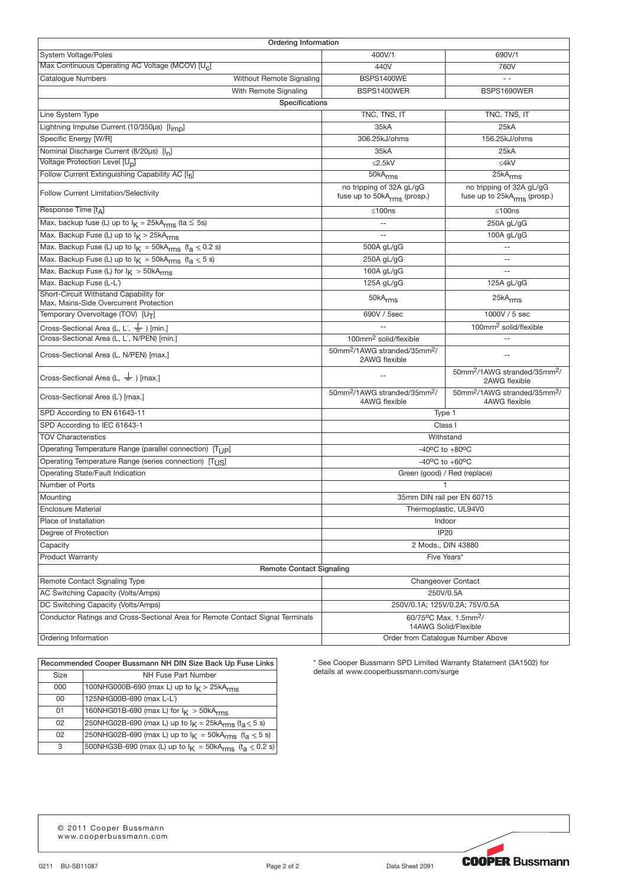| Ordering Information                                                             |                                                                       |                                                                       |
|----------------------------------------------------------------------------------|-----------------------------------------------------------------------|-----------------------------------------------------------------------|
| System Voltage/Poles                                                             | 400V/1                                                                | 690V/1                                                                |
| Max Continuous Operating AC Voltage (MCOV) [U <sub>C</sub> ]                     | 440V                                                                  | 760V                                                                  |
| <b>Cataloque Numbers</b><br>Without Remote Signaling                             | <b>BSPS1400WE</b>                                                     | $\sim$ $\sim$                                                         |
| With Remote Signaling                                                            | BSPS1400WER                                                           | BSPS1690WER                                                           |
| Specifications                                                                   |                                                                       |                                                                       |
| Line System Type                                                                 | TNC, TNS, IT                                                          | TNC, TNS, IT                                                          |
| Lightning Impulse Current (10/350µs) [limp]                                      | 35kA                                                                  | 25kA                                                                  |
| Specific Energy [W/R]                                                            | 306.25kJ/ohms                                                         | 156.25kJ/ohms                                                         |
| Nominal Discharge Current (8/20µs) [I <sub>n</sub> ]                             | 35kA                                                                  | 25kA                                                                  |
| Voltage Protection Level [U <sub>D</sub> ]                                       | $≤2.5kV$                                                              | $≤4kV$                                                                |
| Follow Current Extinguishing Capability AC [Ifi]                                 | 50kA <sub>rms</sub>                                                   | 25kA <sub>rms</sub>                                                   |
| <b>Follow Current Limitation/Selectivity</b>                                     | no tripping of 32A gL/gG<br>fuse up to 50kA <sub>rms</sub> (prosp.)   | no tripping of 32A gL/gG<br>fuse up to 25kA <sub>rms</sub> (prosp.)   |
| Response Time [t <sub>A</sub> ]                                                  | $≤100ns$                                                              | ≤100ns                                                                |
| Max. backup fuse (L) up to $I_K = 25kA_{rms}$ (ta $\leq 5s$ )                    | $\sim$                                                                | 250A gL/gG                                                            |
| Max. Backup Fuse (L) up to $I_K > 25kA_{rms}$                                    |                                                                       | 100A gL/gG                                                            |
| Max. Backup Fuse (L) up to $I_K = 50kA_{rms}$ (t <sub>a</sub> $\leq$ 0.2 s)      | 500A gL/gG                                                            | $\mathbf{u}$                                                          |
| Max. Backup Fuse (L) up to $I_K = 50kA_{rms}$ ( $t_a \le 5 s$ )                  | 250A gL/gG                                                            |                                                                       |
| Max. Backup Fuse (L) for $I_K > 50kA_{rms}$                                      | 160A gL/gG                                                            | $-$                                                                   |
| Max. Backup Fuse (L-L)                                                           | 125A gL/gG                                                            | 125A gL/gG                                                            |
| Short-Circuit Withstand Capability for<br>Max. Mains-Side Overcurrent Protection | 50kA <sub>rms</sub>                                                   | 25kA <sub>rms</sub>                                                   |
| Temporary Overvoltage (TOV) [UT]                                                 | 690V / 5sec                                                           | 1000V / 5 sec                                                         |
| Cross-Sectional Area (L, L', $\frac{1}{n}$ ) [min.]                              |                                                                       | 100mm <sup>2</sup> solid/flexible                                     |
| Cross-Sectional Area (L, L', N/PEN) [min.]                                       | 100mm <sup>2</sup> solid/flexible                                     |                                                                       |
| Cross-Sectional Area (L, N/PEN) [max.]                                           | 50mm <sup>2</sup> /1AWG stranded/35mm <sup>2</sup> /<br>2AWG flexible | $\overline{a}$                                                        |
| Cross-Sectional Area (L, $\frac{1}{n}$ ) [max.]                                  |                                                                       | 50mm <sup>2</sup> /1AWG stranded/35mm <sup>2</sup> /<br>2AWG flexible |
| Cross-Sectional Area (L') [max.]                                                 | 50mm <sup>2</sup> /1AWG stranded/35mm <sup>2</sup> /<br>4AWG flexible | 50mm <sup>2</sup> /1AWG stranded/35mm <sup>2</sup> /<br>4AWG flexible |
| SPD According to EN 61643-11                                                     | Type 1                                                                |                                                                       |
| SPD According to IEC 61643-1                                                     | Class I                                                               |                                                                       |
| <b>TOV Characteristics</b>                                                       | Withstand                                                             |                                                                       |
| Operating Temperature Range (parallel connection) [T <sub>LIP</sub> ]            | -40°C to $+80$ °C                                                     |                                                                       |
| Operating Temperature Range (series connection) [T <sub>US</sub> ]               | $-40^{\circ}$ C to $+60^{\circ}$ C                                    |                                                                       |
| Operating State/Fault Indication                                                 | Green (good) / Red (replace)                                          |                                                                       |
| Number of Ports                                                                  | 1                                                                     |                                                                       |
| Mounting                                                                         | 35mm DIN rail per EN 60715                                            |                                                                       |
| <b>Enclosure Material</b>                                                        | Thermoplastic, UL94V0                                                 |                                                                       |
| Place of Installation                                                            | Indoor                                                                |                                                                       |
| Degree of Protection                                                             | <b>IP20</b>                                                           |                                                                       |
| Capacity                                                                         | 2 Mods., DIN 43880                                                    |                                                                       |
| <b>Product Warranty</b>                                                          | Five Years*                                                           |                                                                       |
| <b>Remote Contact Signaling</b>                                                  |                                                                       |                                                                       |
| Remote Contact Signaling Type                                                    | <b>Changeover Contact</b>                                             |                                                                       |
| AC Switching Capacity (Volts/Amps)                                               | 250V/0.5A                                                             |                                                                       |
| DC Switching Capacity (Volts/Amps)                                               | 250V/0.1A; 125V/0.2A; 75V/0.5A                                        |                                                                       |
| Conductor Ratings and Cross-Sectional Area for Remote Contact Signal Terminals   | 60/75°C Max. 1.5mm <sup>2</sup> /<br>14AWG Solid/Flexible             |                                                                       |
| Ordering Information                                                             | Order from Catalogue Number Above                                     |                                                                       |

**Recommended Cooper Bussmann NH DIN Size Back Up Fuse Links** Size NH Fuse Part Number 000 100NHG000B-690 (max L) up to  $I_K > 25kA_{rms}$ <br>00 125NHG00B-690 (max L-L) 125NHG00B-690 (max L-L) 01 160NHG01B-690 (max L) for  $I_K > 50kA_{rms}$ <br>02 250NHG02B-690 (max L) up to  $I_K = 25kA_{rms}$ 02 250NHG02B-690 (max L) up to  $I_K = 25kA_{rms}$  ( $t_a \le 5$  s)<br>02 250NHG02B-690 (max L) up to  $I_K = 50kA_{rms}$  ( $t_a \le 5$  s) 250NHG02B-690 (max L) up to  $I_K = 50kA_{rms}$  (t<sub>a  $\leq 5$  s)</sub> 3 500NHG3B-690 (max (L) up to  $I_K = 50kA_{rms}$  (t<sub>a  $\leq$ </sub> 0.2 s)

\* See Cooper Bussmann SPD Limited Warranty Statement (3A1502) for details at www.cooperbussmann.com/surge

© 2011 Cooper Bussmann www.cooperbussmann.com